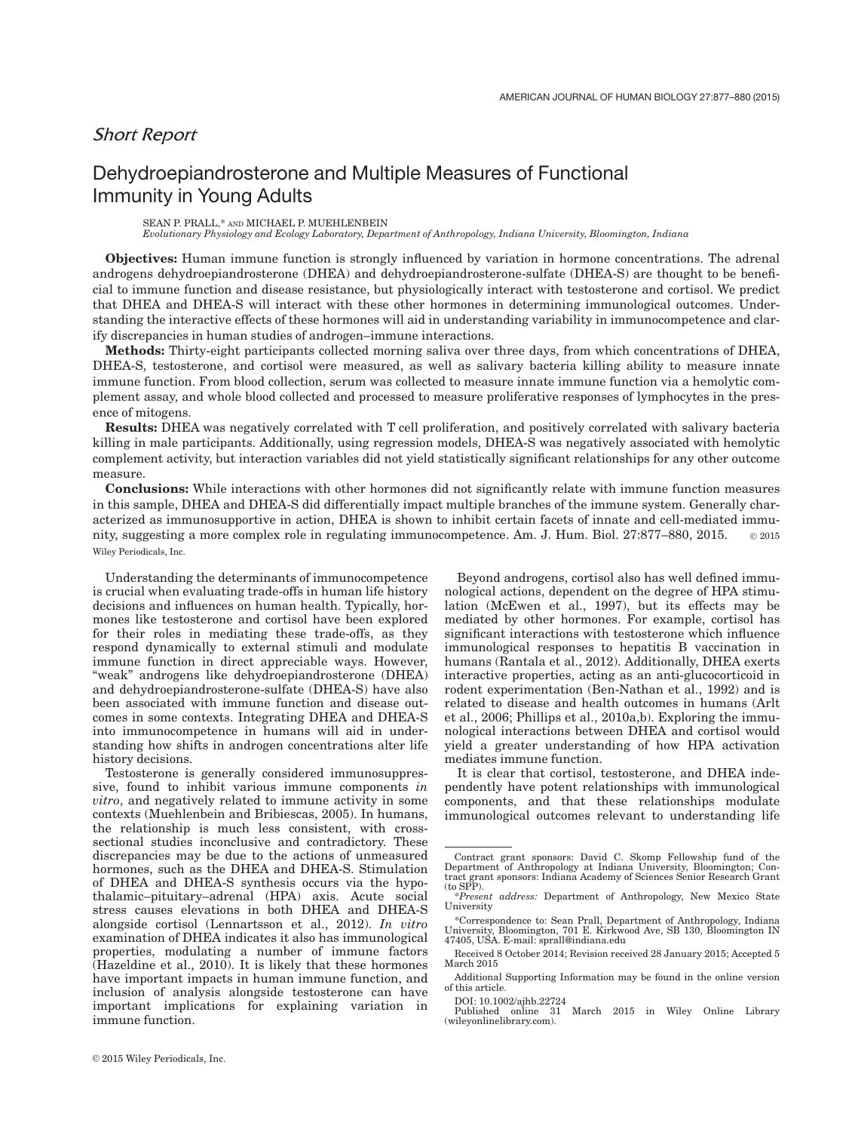# Short Report

# Dehydroepiandrosterone and Multiple Measures of Functional Immunity in Young Adults

SEAN P. PRALL,\* AND MICHAEL P. MUEHLENBEIN

Evolutionary Physiology and Ecology Laboratory, Department of Anthropology, Indiana University, Bloomington, Indiana

Objectives: Human immune function is strongly influenced by variation in hormone concentrations. The adrenal androgens dehydroepiandrosterone (DHEA) and dehydroepiandrosterone-sulfate (DHEA-S) are thought to be beneficial to immune function and disease resistance, but physiologically interact with testosterone and cortisol. We predict that DHEA and DHEA-S will interact with these other hormones in determining immunological outcomes. Understanding the interactive effects of these hormones will aid in understanding variability in immunocompetence and clarify discrepancies in human studies of androgen–immune interactions.

Methods: Thirty-eight participants collected morning saliva over three days, from which concentrations of DHEA, DHEA-S, testosterone, and cortisol were measured, as well as salivary bacteria killing ability to measure innate immune function. From blood collection, serum was collected to measure innate immune function via a hemolytic complement assay, and whole blood collected and processed to measure proliferative responses of lymphocytes in the presence of mitogens.

Results: DHEA was negatively correlated with T cell proliferation, and positively correlated with salivary bacteria killing in male participants. Additionally, using regression models, DHEA-S was negatively associated with hemolytic complement activity, but interaction variables did not yield statistically significant relationships for any other outcome measure.

Conclusions: While interactions with other hormones did not significantly relate with immune function measures in this sample, DHEA and DHEA-S did differentially impact multiple branches of the immune system. Generally characterized as immunosupportive in action, DHEA is shown to inhibit certain facets of innate and cell-mediated immunity, suggesting a more complex role in regulating immunocompetence. Am. J. Hum. Biol.  $27:877-880$ ,  $2015.$   $\heartsuit$  2015 Wiley Periodicals, Inc.

Understanding the determinants of immunocompetence is crucial when evaluating trade-offs in human life history decisions and influences on human health. Typically, hormones like testosterone and cortisol have been explored for their roles in mediating these trade-offs, as they respond dynamically to external stimuli and modulate immune function in direct appreciable ways. However, "weak" androgens like dehydroepiandrosterone (DHEA) and dehydroepiandrosterone-sulfate (DHEA-S) have also been associated with immune function and disease outcomes in some contexts. Integrating DHEA and DHEA-S into immunocompetence in humans will aid in understanding how shifts in androgen concentrations alter life history decisions.

Testosterone is generally considered immunosuppressive, found to inhibit various immune components in vitro, and negatively related to immune activity in some contexts (Muehlenbein and Bribiescas, 2005). In humans, the relationship is much less consistent, with crosssectional studies inconclusive and contradictory. These discrepancies may be due to the actions of unmeasured hormones, such as the DHEA and DHEA-S. Stimulation of DHEA and DHEA-S synthesis occurs via the hypothalamic–pituitary–adrenal (HPA) axis. Acute social stress causes elevations in both DHEA and DHEA-S alongside cortisol (Lennartsson et al., 2012). In vitro examination of DHEA indicates it also has immunological properties, modulating a number of immune factors (Hazeldine et al., 2010). It is likely that these hormones have important impacts in human immune function, and inclusion of analysis alongside testosterone can have important implications for explaining variation in immune function.

Beyond androgens, cortisol also has well defined immunological actions, dependent on the degree of HPA stimulation (McEwen et al., 1997), but its effects may be mediated by other hormones. For example, cortisol has significant interactions with testosterone which influence immunological responses to hepatitis B vaccination in humans (Rantala et al., 2012). Additionally, DHEA exerts interactive properties, acting as an anti-glucocorticoid in rodent experimentation (Ben-Nathan et al., 1992) and is related to disease and health outcomes in humans (Arlt et al., 2006; Phillips et al., 2010a,b). Exploring the immunological interactions between DHEA and cortisol would yield a greater understanding of how HPA activation mediates immune function.

It is clear that cortisol, testosterone, and DHEA independently have potent relationships with immunological components, and that these relationships modulate immunological outcomes relevant to understanding life

DOI: 10.1002/ajhb.22724

Published online 31 March 2015 in Wiley Online Library (wileyonlinelibrary.com).

Contract grant sponsors: David C. Skomp Fellowship fund of the Department of Anthropology at Indiana University, Bloomington; Con-<br>tract grant sponsors: Indiana Academy of Sciences Senior Research Grant<br>(to SPP). The sent address: Department of Anthropology, New Mexico State

<sup>\*</sup>Present address: Department of Anthropology, New Mexico State University

<sup>\*</sup>Correspondence to: Sean Prall, Department of Anthropology, Indiana University, Bloomington, 701 E. Kirkwood Ave, SB 130, Bloomington IN 47405, USA. E-mail: sprall@indiana.edu

Received 8 October 2014; Revision received 28 January 2015; Accepted 5 March 2015

Additional Supporting Information may be found in the online version of this article.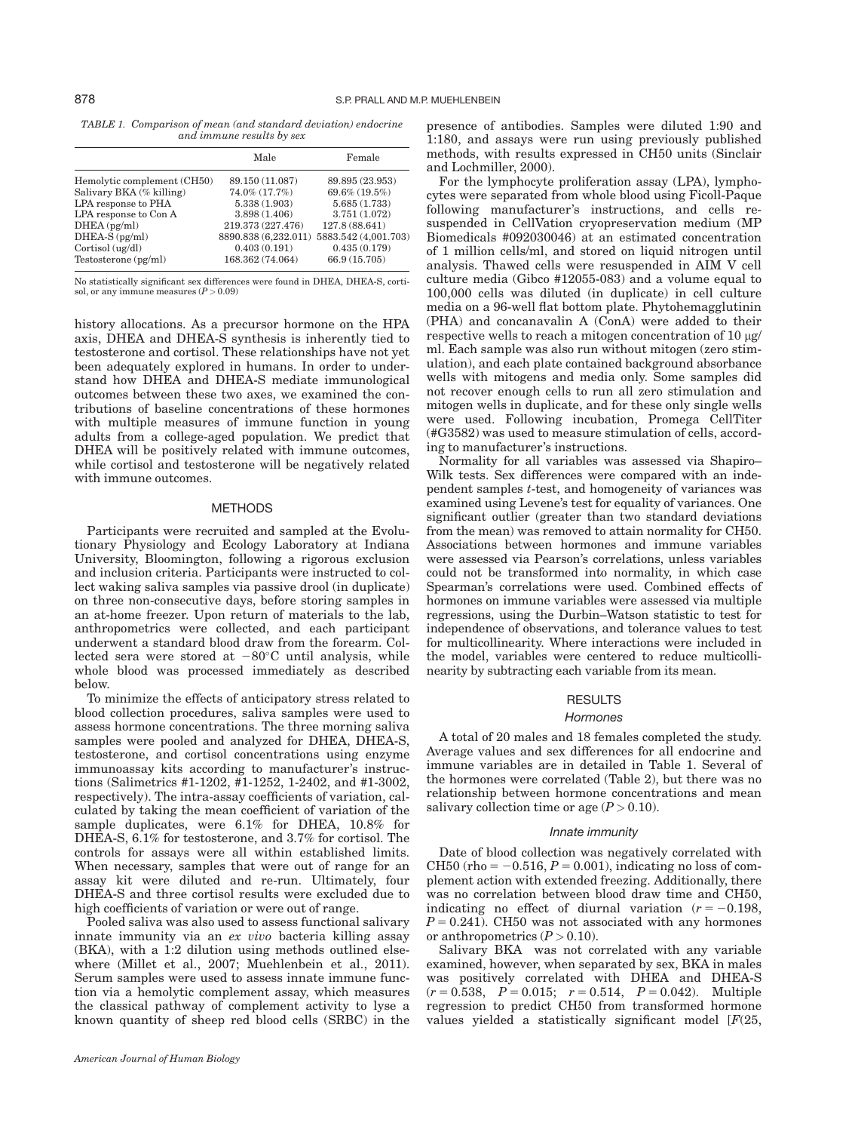TABLE 1. Comparison of mean (and standard deviation) endocrine and immune results by sex

|                             | Male                 | Female               |
|-----------------------------|----------------------|----------------------|
| Hemolytic complement (CH50) | 89.150 (11.087)      | 89.895 (23.953)      |
| Salivary BKA (% killing)    | 74.0% (17.7%)        | 69.6% (19.5%)        |
| LPA response to PHA         | 5.338 (1.903)        | 5.685(1.733)         |
| LPA response to Con A       | 3.898(1.406)         | 3.751(1.072)         |
| $DHEA$ ( $pg/ml$ )          | 219.373 (227.476)    | 127.8 (88.641)       |
| $DHEA-S$ ( $pg/ml$ )        | 8890.838 (6,232.011) | 5883.542 (4,001.703) |
| Cortisol (ug/dl)            | 0.403(0.191)         | 0.435(0.179)         |
| Testosterone(pg/ml)         | 168.362 (74.064)     | 66.9 (15.705)        |

No statistically significant sex differences were found in DHEA, DHEA-S, cortisol, or any immune measures ( $P > 0.09$ )

history allocations. As a precursor hormone on the HPA axis, DHEA and DHEA-S synthesis is inherently tied to testosterone and cortisol. These relationships have not yet been adequately explored in humans. In order to understand how DHEA and DHEA-S mediate immunological outcomes between these two axes, we examined the contributions of baseline concentrations of these hormones with multiple measures of immune function in young adults from a college-aged population. We predict that DHEA will be positively related with immune outcomes, while cortisol and testosterone will be negatively related with immune outcomes.

## **METHODS**

Participants were recruited and sampled at the Evolutionary Physiology and Ecology Laboratory at Indiana University, Bloomington, following a rigorous exclusion and inclusion criteria. Participants were instructed to collect waking saliva samples via passive drool (in duplicate) on three non-consecutive days, before storing samples in an at-home freezer. Upon return of materials to the lab, anthropometrics were collected, and each participant underwent a standard blood draw from the forearm. Collected sera were stored at  $-80^{\circ}$ C until analysis, while whole blood was processed immediately as described below.

To minimize the effects of anticipatory stress related to blood collection procedures, saliva samples were used to assess hormone concentrations. The three morning saliva samples were pooled and analyzed for DHEA, DHEA-S, testosterone, and cortisol concentrations using enzyme immunoassay kits according to manufacturer's instructions (Salimetrics #1-1202, #1-1252, 1-2402, and #1-3002, respectively). The intra-assay coefficients of variation, calculated by taking the mean coefficient of variation of the sample duplicates, were 6.1% for DHEA, 10.8% for DHEA-S, 6.1% for testosterone, and 3.7% for cortisol. The controls for assays were all within established limits. When necessary, samples that were out of range for an assay kit were diluted and re-run. Ultimately, four DHEA-S and three cortisol results were excluded due to high coefficients of variation or were out of range.

Pooled saliva was also used to assess functional salivary innate immunity via an ex vivo bacteria killing assay (BKA), with a 1:2 dilution using methods outlined elsewhere (Millet et al., 2007; Muehlenbein et al., 2011). Serum samples were used to assess innate immune function via a hemolytic complement assay, which measures the classical pathway of complement activity to lyse a known quantity of sheep red blood cells (SRBC) in the

presence of antibodies. Samples were diluted 1:90 and 1:180, and assays were run using previously published methods, with results expressed in CH50 units (Sinclair and Lochmiller, 2000).

For the lymphocyte proliferation assay (LPA), lymphocytes were separated from whole blood using Ficoll-Paque following manufacturer's instructions, and cells resuspended in CellVation cryopreservation medium (MP Biomedicals #092030046) at an estimated concentration of 1 million cells/ml, and stored on liquid nitrogen until analysis. Thawed cells were resuspended in AIM V cell culture media (Gibco #12055-083) and a volume equal to 100,000 cells was diluted (in duplicate) in cell culture media on a 96-well flat bottom plate. Phytohemagglutinin (PHA) and concanavalin A (ConA) were added to their respective wells to reach a mitogen concentration of 10  $\mu$ g/ ml. Each sample was also run without mitogen (zero stimulation), and each plate contained background absorbance wells with mitogens and media only. Some samples did not recover enough cells to run all zero stimulation and mitogen wells in duplicate, and for these only single wells were used. Following incubation, Promega CellTiter (#G3582) was used to measure stimulation of cells, according to manufacturer's instructions.

Normality for all variables was assessed via Shapiro– Wilk tests. Sex differences were compared with an independent samples t-test, and homogeneity of variances was examined using Levene's test for equality of variances. One significant outlier (greater than two standard deviations from the mean) was removed to attain normality for CH50. Associations between hormones and immune variables were assessed via Pearson's correlations, unless variables could not be transformed into normality, in which case Spearman's correlations were used. Combined effects of hormones on immune variables were assessed via multiple regressions, using the Durbin–Watson statistic to test for independence of observations, and tolerance values to test for multicollinearity. Where interactions were included in the model, variables were centered to reduce multicollinearity by subtracting each variable from its mean.

# **RESULTS**

#### **Hormones**

A total of 20 males and 18 females completed the study. Average values and sex differences for all endocrine and immune variables are in detailed in Table 1. Several of the hormones were correlated (Table 2), but there was no relationship between hormone concentrations and mean salivary collection time or age  $(P > 0.10)$ .

#### Innate immunity

Date of blood collection was negatively correlated with CH50 (rho =  $-0.516$ ,  $P = 0.001$ ), indicating no loss of complement action with extended freezing. Additionally, there was no correlation between blood draw time and CH50, indicating no effect of diurnal variation  $(r = -0.198,$  $P = 0.241$ ). CH50 was not associated with any hormones or anthropometrics  $(P > 0.10)$ .

Salivary BKA was not correlated with any variable examined, however, when separated by sex, BKA in males was positively correlated with DHEA and DHEA-S  $(r = 0.538, P = 0.015; r = 0.514, P = 0.042)$ . Multiple regression to predict CH50 from transformed hormone values yielded a statistically significant model  $[F(25,$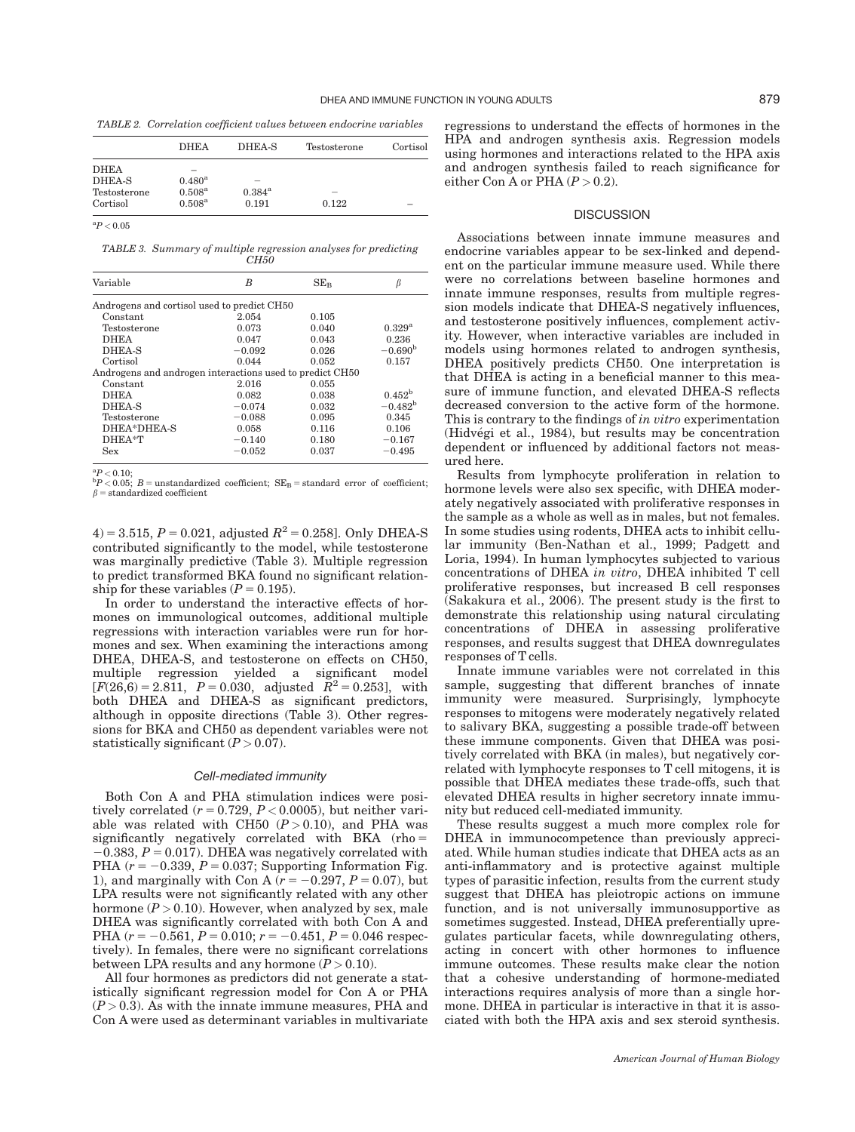TABLE 2. Correlation coefficient values between endocrine variables

|              | <b>DHEA</b>     | DHEA-S                   | Testosterone             | Cortisol |
|--------------|-----------------|--------------------------|--------------------------|----------|
| <b>DHEA</b>  |                 |                          |                          |          |
| DHEA-S       | $0.480^{\rm a}$ | $\overline{\phantom{a}}$ |                          |          |
| Testosterone | $0.508^{\rm a}$ | $0.384^{\rm a}$          | $\overline{\phantom{a}}$ |          |
| Cortisol     | $0.508^{\rm a}$ | 0.191                    | 0.122                    |          |

 $\mathrm{^{a}P}$   $<$  0.05

TABLE 3. Summary of multiple regression analyses for predicting CH<sub>50</sub>

| Variable                                                 | B        | $SE_{B}$ |                  |
|----------------------------------------------------------|----------|----------|------------------|
| Androgens and cortisol used to predict CH50              |          |          |                  |
| Constant                                                 | 2.054    | 0.105    |                  |
| Testosterone                                             | 0.073    | 0.040    | $0.329^{a}$      |
| <b>DHEA</b>                                              | 0.047    | 0.043    | 0.236            |
| DHEA-S                                                   | $-0.092$ | 0.026    | $-0.690^{\rm b}$ |
| Cortisol                                                 | 0.044    | 0.052    | 0.157            |
| Androgens and androgen interactions used to predict CH50 |          |          |                  |
| Constant                                                 | 2.016    | 0.055    |                  |
| <b>DHEA</b>                                              | 0.082    | 0.038    | $0.452^{\rm b}$  |
| DHEA-S                                                   | $-0.074$ | 0.032    | $-0.482^{\rm b}$ |
| Testosterone                                             | $-0.088$ | 0.095    | 0.345            |
| DHEA*DHEA-S                                              | 0.058    | 0.116    | 0.106            |
| DHEA*T                                                   | $-0.140$ | 0.180    | $-0.167$         |
| Sex                                                      | $-0.052$ | 0.037    | $-0.495$         |

 ${}^{a}P< 0.10$ 

 ${}^{a}P < 0.10;$ <br> ${}^{b}P < 0.05;$   $B =$  unstandardized coefficient;  $SE_B =$  standard error of coefficient;  $\beta =$  standardized coefficient

4) = 3.515, P = 0.021, adjusted  $R^2$  = 0.258]. Only DHEA-S contributed significantly to the model, while testosterone was marginally predictive (Table 3). Multiple regression to predict transformed BKA found no significant relationship for these variables ( $P = 0.195$ ).

In order to understand the interactive effects of hormones on immunological outcomes, additional multiple regressions with interaction variables were run for hormones and sex. When examining the interactions among DHEA, DHEA-S, and testosterone on effects on CH50, multiple regression yielded a significant model  $[F(26,6) = 2.811, P = 0.030,$  adjusted  $R^2 = 0.253$ , with both DHEA and DHEA-S as significant predictors, although in opposite directions (Table 3). Other regressions for BKA and CH50 as dependent variables were not statistically significant  $(P > 0.07)$ .

#### Cell-mediated immunity

Both Con A and PHA stimulation indices were positively correlated  $(r = 0.729, P < 0.0005)$ , but neither variable was related with CH50  $(P > 0.10)$ , and PHA was significantly negatively correlated with BKA  $(rho =$  $-0.383$ ,  $P = 0.017$ ). DHEA was negatively correlated with PHA ( $r = -0.339$ ,  $P = 0.037$ ; Supporting Information Fig. 1), and marginally with Con A  $(r = -0.297, P = 0.07)$ , but LPA results were not significantly related with any other hormone  $(P > 0.10)$ . However, when analyzed by sex, male DHEA was significantly correlated with both Con A and PHA  $(r = -0.561, P = 0.010; r = -0.451, P = 0.046$  respectively). In females, there were no significant correlations between LPA results and any hormone  $(P > 0.10)$ .

All four hormones as predictors did not generate a statistically significant regression model for Con A or PHA  $(P > 0.3)$ . As with the innate immune measures, PHA and Con A were used as determinant variables in multivariate regressions to understand the effects of hormones in the HPA and androgen synthesis axis. Regression models using hormones and interactions related to the HPA axis and androgen synthesis failed to reach significance for either Con A or PHA  $(P > 0.2)$ .

# **DISCUSSION**

Associations between innate immune measures and endocrine variables appear to be sex-linked and dependent on the particular immune measure used. While there were no correlations between baseline hormones and innate immune responses, results from multiple regression models indicate that DHEA-S negatively influences, and testosterone positively influences, complement activity. However, when interactive variables are included in models using hormones related to androgen synthesis, DHEA positively predicts CH50. One interpretation is that DHEA is acting in a beneficial manner to this measure of immune function, and elevated DHEA-S reflects decreased conversion to the active form of the hormone. This is contrary to the findings of in vitro experimentation (Hidvégi et al., 1984), but results may be concentration dependent or influenced by additional factors not measured here.

Results from lymphocyte proliferation in relation to hormone levels were also sex specific, with DHEA moderately negatively associated with proliferative responses in the sample as a whole as well as in males, but not females. In some studies using rodents, DHEA acts to inhibit cellular immunity (Ben-Nathan et al., 1999; Padgett and Loria, 1994). In human lymphocytes subjected to various concentrations of DHEA in vitro, DHEA inhibited T cell proliferative responses, but increased B cell responses (Sakakura et al., 2006). The present study is the first to demonstrate this relationship using natural circulating concentrations of DHEA in assessing proliferative responses, and results suggest that DHEA downregulates responses of T cells.

Innate immune variables were not correlated in this sample, suggesting that different branches of innate immunity were measured. Surprisingly, lymphocyte responses to mitogens were moderately negatively related to salivary BKA, suggesting a possible trade-off between these immune components. Given that DHEA was positively correlated with BKA (in males), but negatively correlated with lymphocyte responses to T cell mitogens, it is possible that DHEA mediates these trade-offs, such that elevated DHEA results in higher secretory innate immunity but reduced cell-mediated immunity.

These results suggest a much more complex role for DHEA in immunocompetence than previously appreciated. While human studies indicate that DHEA acts as an anti-inflammatory and is protective against multiple types of parasitic infection, results from the current study suggest that DHEA has pleiotropic actions on immune function, and is not universally immunosupportive as sometimes suggested. Instead, DHEA preferentially upregulates particular facets, while downregulating others, acting in concert with other hormones to influence immune outcomes. These results make clear the notion that a cohesive understanding of hormone-mediated interactions requires analysis of more than a single hormone. DHEA in particular is interactive in that it is associated with both the HPA axis and sex steroid synthesis.